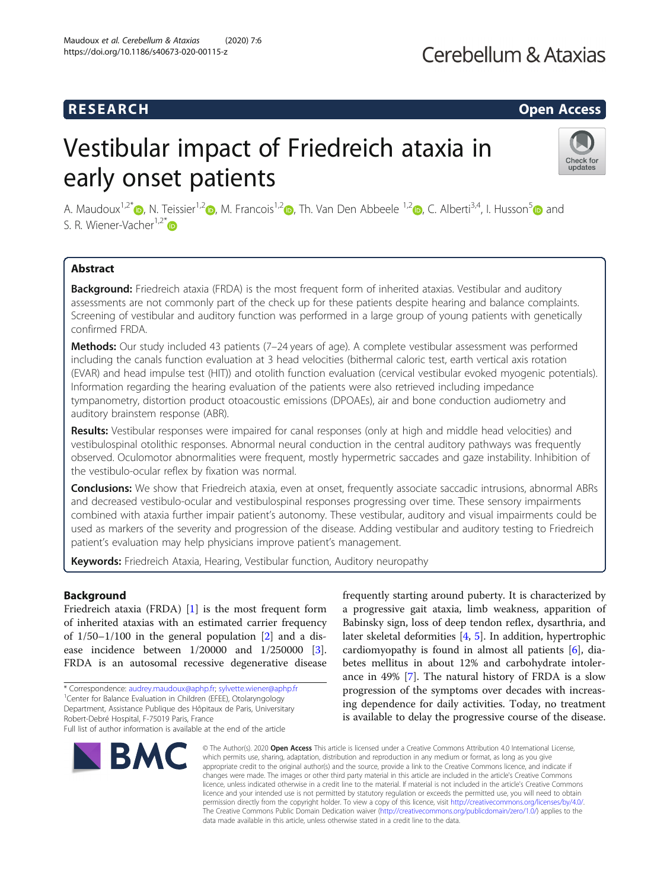## Cerebellum & Ataxias

### R E S EAR CH Open Access

# Vestibular impact of Friedreich ataxia in early onset patients



A. Maudoux<sup>1[,](https://orcid.org/0000-0003-2572-1544)[2](https://orcid.org/0000-0002-2405-8245)\*</sup>  $\odot$ , N. Teissier<sup>1,2</sup>  $\odot$ , M. Francois<sup>1,2</sup>  $\odot$ , Th. Van Den Abbeele <sup>1,2</sup>  $\odot$ , C. Alberti<sup>3,4</sup>, I. Husson<sup>5</sup> and S. R. Wiener-Vacher<sup>1,2\*</sup> $\bullet$ 

### Abstract

Background: Friedreich ataxia (FRDA) is the most frequent form of inherited ataxias. Vestibular and auditory assessments are not commonly part of the check up for these patients despite hearing and balance complaints. Screening of vestibular and auditory function was performed in a large group of young patients with genetically confirmed FRDA.

Methods: Our study included 43 patients (7-24 years of age). A complete vestibular assessment was performed including the canals function evaluation at 3 head velocities (bithermal caloric test, earth vertical axis rotation (EVAR) and head impulse test (HIT)) and otolith function evaluation (cervical vestibular evoked myogenic potentials). Information regarding the hearing evaluation of the patients were also retrieved including impedance tympanometry, distortion product otoacoustic emissions (DPOAEs), air and bone conduction audiometry and auditory brainstem response (ABR).

Results: Vestibular responses were impaired for canal responses (only at high and middle head velocities) and vestibulospinal otolithic responses. Abnormal neural conduction in the central auditory pathways was frequently observed. Oculomotor abnormalities were frequent, mostly hypermetric saccades and gaze instability. Inhibition of the vestibulo-ocular reflex by fixation was normal.

Conclusions: We show that Friedreich ataxia, even at onset, frequently associate saccadic intrusions, abnormal ABRs and decreased vestibulo-ocular and vestibulospinal responses progressing over time. These sensory impairments combined with ataxia further impair patient's autonomy. These vestibular, auditory and visual impairments could be used as markers of the severity and progression of the disease. Adding vestibular and auditory testing to Friedreich patient's evaluation may help physicians improve patient's management.

Keywords: Friedreich Ataxia, Hearing, Vestibular function, Auditory neuropathy

#### Background

Friedreich ataxia (FRDA) [[1](#page-10-0)] is the most frequent form of inherited ataxias with an estimated carrier frequency of  $1/50-1/100$  in the general population  $[2]$  $[2]$  and a disease incidence between 1/20000 and 1/250000 [\[3](#page-10-0)]. FRDA is an autosomal recessive degenerative disease

Robert-Debré Hospital, F-75019 Paris, France

Full list of author information is available at the end of the article



frequently starting around puberty. It is characterized by a progressive gait ataxia, limb weakness, apparition of Babinsky sign, loss of deep tendon reflex, dysarthria, and later skeletal deformities [[4,](#page-10-0) [5\]](#page-10-0). In addition, hypertrophic cardiomyopathy is found in almost all patients [[6\]](#page-10-0), diabetes mellitus in about 12% and carbohydrate intolerance in 49% [\[7](#page-10-0)]. The natural history of FRDA is a slow progression of the symptoms over decades with increasing dependence for daily activities. Today, no treatment is available to delay the progressive course of the disease.

© The Author(s), 2020 **Open Access** This article is licensed under a Creative Commons Attribution 4.0 International License, which permits use, sharing, adaptation, distribution and reproduction in any medium or format, as long as you give appropriate credit to the original author(s) and the source, provide a link to the Creative Commons licence, and indicate if changes were made. The images or other third party material in this article are included in the article's Creative Commons licence, unless indicated otherwise in a credit line to the material. If material is not included in the article's Creative Commons licence and your intended use is not permitted by statutory regulation or exceeds the permitted use, you will need to obtain permission directly from the copyright holder. To view a copy of this licence, visit [http://creativecommons.org/licenses/by/4.0/.](http://creativecommons.org/licenses/by/4.0/) The Creative Commons Public Domain Dedication waiver [\(http://creativecommons.org/publicdomain/zero/1.0/](http://creativecommons.org/publicdomain/zero/1.0/)) applies to the data made available in this article, unless otherwise stated in a credit line to the data.

<sup>\*</sup> Correspondence: [audrey.maudoux@aphp.fr;](mailto:audrey.maudoux@aphp.fr) [sylvette.wiener@aphp.fr](mailto:sylvette.wiener@aphp.fr) <sup>1</sup>

<sup>&</sup>lt;sup>1</sup> Center for Balance Evaluation in Children (EFEE), Otolaryngology Department, Assistance Publique des Hôpitaux de Paris, Universitary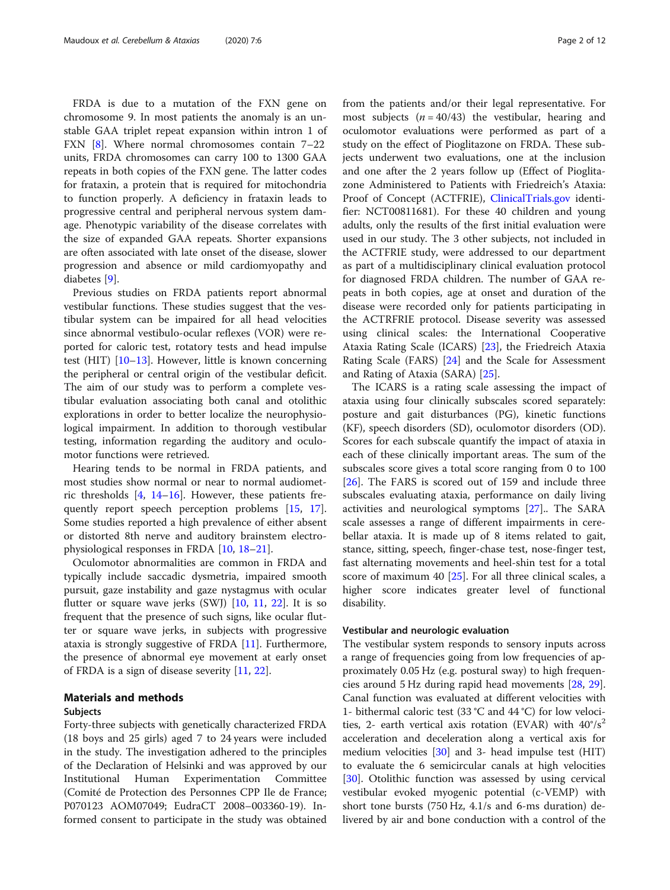FRDA is due to a mutation of the FXN gene on chromosome 9. In most patients the anomaly is an unstable GAA triplet repeat expansion within intron 1 of FXN [[8\]](#page-10-0). Where normal chromosomes contain 7–22 units, FRDA chromosomes can carry 100 to 1300 GAA repeats in both copies of the FXN gene. The latter codes for frataxin, a protein that is required for mitochondria to function properly. A deficiency in frataxin leads to progressive central and peripheral nervous system damage. Phenotypic variability of the disease correlates with the size of expanded GAA repeats. Shorter expansions are often associated with late onset of the disease, slower progression and absence or mild cardiomyopathy and diabetes [[9\]](#page-10-0).

Previous studies on FRDA patients report abnormal vestibular functions. These studies suggest that the vestibular system can be impaired for all head velocities since abnormal vestibulo-ocular reflexes (VOR) were reported for caloric test, rotatory tests and head impulse test (HIT) [\[10](#page-10-0)–[13\]](#page-10-0). However, little is known concerning the peripheral or central origin of the vestibular deficit. The aim of our study was to perform a complete vestibular evaluation associating both canal and otolithic explorations in order to better localize the neurophysiological impairment. In addition to thorough vestibular testing, information regarding the auditory and oculomotor functions were retrieved.

Hearing tends to be normal in FRDA patients, and most studies show normal or near to normal audiometric thresholds [\[4](#page-10-0), [14](#page-10-0)–[16\]](#page-10-0). However, these patients frequently report speech perception problems [[15,](#page-10-0) [17](#page-10-0)]. Some studies reported a high prevalence of either absent or distorted 8th nerve and auditory brainstem electrophysiological responses in FRDA [\[10,](#page-10-0) [18](#page-10-0)–[21\]](#page-10-0).

Oculomotor abnormalities are common in FRDA and typically include saccadic dysmetria, impaired smooth pursuit, gaze instability and gaze nystagmus with ocular flutter or square wave jerks  $(SWJ)$  [\[10,](#page-10-0) [11](#page-10-0), [22](#page-10-0)]. It is so frequent that the presence of such signs, like ocular flutter or square wave jerks, in subjects with progressive ataxia is strongly suggestive of FRDA [[11\]](#page-10-0). Furthermore, the presence of abnormal eye movement at early onset of FRDA is a sign of disease severity [\[11](#page-10-0), [22\]](#page-10-0).

## Materials and methods

### Subjects

Forty-three subjects with genetically characterized FRDA (18 boys and 25 girls) aged 7 to 24 years were included in the study. The investigation adhered to the principles of the Declaration of Helsinki and was approved by our Institutional Human Experimentation Committee (Comité de Protection des Personnes CPP Ile de France; P070123 AOM07049; EudraCT 2008–003360-19). Informed consent to participate in the study was obtained from the patients and/or their legal representative. For most subjects  $(n = 40/43)$  the vestibular, hearing and oculomotor evaluations were performed as part of a study on the effect of Pioglitazone on FRDA. These subjects underwent two evaluations, one at the inclusion and one after the 2 years follow up (Effect of Pioglitazone Administered to Patients with Friedreich's Ataxia: Proof of Concept (ACTFRIE), [ClinicalTrials.gov](http://clinicaltrials.gov) identifier: NCT00811681). For these 40 children and young adults, only the results of the first initial evaluation were used in our study. The 3 other subjects, not included in the ACTFRIE study, were addressed to our department as part of a multidisciplinary clinical evaluation protocol for diagnosed FRDA children. The number of GAA repeats in both copies, age at onset and duration of the disease were recorded only for patients participating in the ACTRFRIE protocol. Disease severity was assessed using clinical scales: the International Cooperative Ataxia Rating Scale (ICARS) [\[23](#page-10-0)], the Friedreich Ataxia Rating Scale (FARS) [[24\]](#page-10-0) and the Scale for Assessment and Rating of Ataxia (SARA) [\[25](#page-10-0)].

The ICARS is a rating scale assessing the impact of ataxia using four clinically subscales scored separately: posture and gait disturbances (PG), kinetic functions (KF), speech disorders (SD), oculomotor disorders (OD). Scores for each subscale quantify the impact of ataxia in each of these clinically important areas. The sum of the subscales score gives a total score ranging from 0 to 100 [[26\]](#page-10-0). The FARS is scored out of 159 and include three subscales evaluating ataxia, performance on daily living activities and neurological symptoms [\[27](#page-10-0)].. The SARA scale assesses a range of different impairments in cerebellar ataxia. It is made up of 8 items related to gait, stance, sitting, speech, finger-chase test, nose-finger test, fast alternating movements and heel-shin test for a total score of maximum 40 [\[25](#page-10-0)]. For all three clinical scales, a higher score indicates greater level of functional disability.

#### Vestibular and neurologic evaluation

The vestibular system responds to sensory inputs across a range of frequencies going from low frequencies of approximately 0.05 Hz (e.g. postural sway) to high frequencies around 5 Hz during rapid head movements [\[28](#page-10-0), [29](#page-10-0)]. Canal function was evaluated at different velocities with 1- bithermal caloric test (33 °C and 44 °C) for low velocities, 2- earth vertical axis rotation (EVAR) with  $40^{\circ}/s^2$ acceleration and deceleration along a vertical axis for medium velocities  $[30]$  $[30]$  and 3- head impulse test (HIT) to evaluate the 6 semicircular canals at high velocities [[30\]](#page-10-0). Otolithic function was assessed by using cervical vestibular evoked myogenic potential (c-VEMP) with short tone bursts (750 Hz, 4.1/s and 6-ms duration) delivered by air and bone conduction with a control of the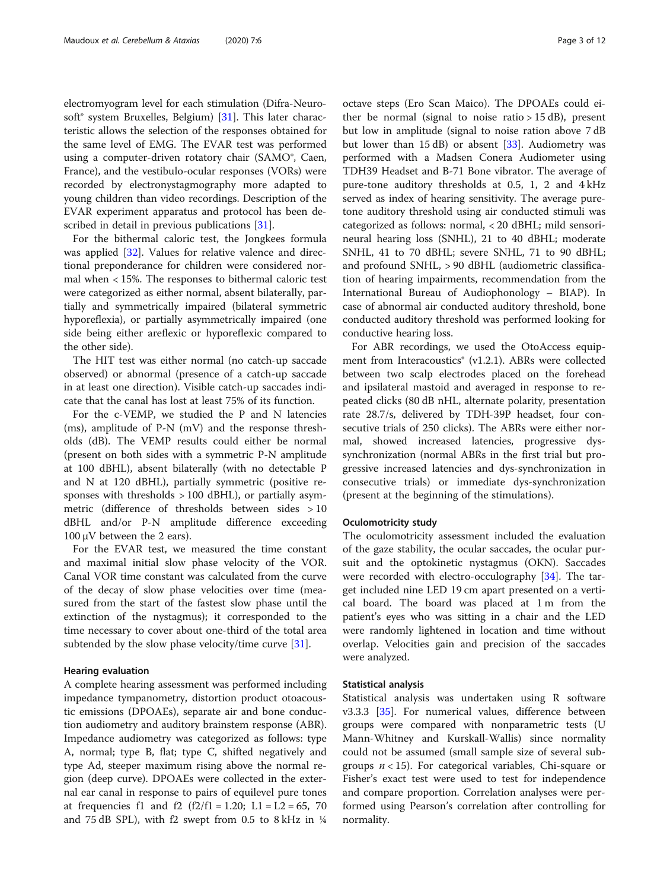electromyogram level for each stimulation (Difra-Neuro-soft<sup>®</sup> system Bruxelles, Belgium) [\[31\]](#page-10-0). This later characteristic allows the selection of the responses obtained for the same level of EMG. The EVAR test was performed using a computer-driven rotatory chair (SAMO®, Caen, France), and the vestibulo-ocular responses (VORs) were recorded by electronystagmography more adapted to young children than video recordings. Description of the EVAR experiment apparatus and protocol has been de-scribed in detail in previous publications [\[31\]](#page-10-0).

For the bithermal caloric test, the Jongkees formula was applied [[32\]](#page-10-0). Values for relative valence and directional preponderance for children were considered normal when < 15%. The responses to bithermal caloric test were categorized as either normal, absent bilaterally, partially and symmetrically impaired (bilateral symmetric hyporeflexia), or partially asymmetrically impaired (one side being either areflexic or hyporeflexic compared to the other side).

The HIT test was either normal (no catch-up saccade observed) or abnormal (presence of a catch-up saccade in at least one direction). Visible catch-up saccades indicate that the canal has lost at least 75% of its function.

For the c-VEMP, we studied the P and N latencies (ms), amplitude of P-N (mV) and the response thresholds (dB). The VEMP results could either be normal (present on both sides with a symmetric P-N amplitude at 100 dBHL), absent bilaterally (with no detectable P and N at 120 dBHL), partially symmetric (positive responses with thresholds  $> 100$  dBHL), or partially asymmetric (difference of thresholds between sides > 10 dBHL and/or P-N amplitude difference exceeding 100 μV between the 2 ears).

For the EVAR test, we measured the time constant and maximal initial slow phase velocity of the VOR. Canal VOR time constant was calculated from the curve of the decay of slow phase velocities over time (measured from the start of the fastest slow phase until the extinction of the nystagmus); it corresponded to the time necessary to cover about one-third of the total area subtended by the slow phase velocity/time curve [[31](#page-10-0)].

#### Hearing evaluation

A complete hearing assessment was performed including impedance tympanometry, distortion product otoacoustic emissions (DPOAEs), separate air and bone conduction audiometry and auditory brainstem response (ABR). Impedance audiometry was categorized as follows: type A, normal; type B, flat; type C, shifted negatively and type Ad, steeper maximum rising above the normal region (deep curve). DPOAEs were collected in the external ear canal in response to pairs of equilevel pure tones at frequencies f1 and f2  $(f2/f1 = 1.20; L1 = L2 = 65, 70$ and 75 dB SPL), with f2 swept from 0.5 to 8 kHz in  $\frac{1}{4}$  octave steps (Ero Scan Maico). The DPOAEs could either be normal (signal to noise ratio  $> 15$  dB), present but low in amplitude (signal to noise ration above 7 dB but lower than 15 dB) or absent  $[33]$  $[33]$ . Audiometry was performed with a Madsen Conera Audiometer using TDH39 Headset and B-71 Bone vibrator. The average of pure-tone auditory thresholds at 0.5, 1, 2 and 4 kHz served as index of hearing sensitivity. The average puretone auditory threshold using air conducted stimuli was categorized as follows: normal, < 20 dBHL; mild sensorineural hearing loss (SNHL), 21 to 40 dBHL; moderate SNHL, 41 to 70 dBHL; severe SNHL, 71 to 90 dBHL; and profound SNHL, > 90 dBHL (audiometric classification of hearing impairments, recommendation from the International Bureau of Audiophonology – BIAP). In case of abnormal air conducted auditory threshold, bone conducted auditory threshold was performed looking for conductive hearing loss.

For ABR recordings, we used the OtoAccess equipment from Interacoustics® (v1.2.1). ABRs were collected between two scalp electrodes placed on the forehead and ipsilateral mastoid and averaged in response to repeated clicks (80 dB nHL, alternate polarity, presentation rate 28.7/s, delivered by TDH-39P headset, four consecutive trials of 250 clicks). The ABRs were either normal, showed increased latencies, progressive dyssynchronization (normal ABRs in the first trial but progressive increased latencies and dys-synchronization in consecutive trials) or immediate dys-synchronization (present at the beginning of the stimulations).

#### Oculomotricity study

The oculomotricity assessment included the evaluation of the gaze stability, the ocular saccades, the ocular pursuit and the optokinetic nystagmus (OKN). Saccades were recorded with electro-occulography [[34\]](#page-10-0). The target included nine LED 19 cm apart presented on a vertical board. The board was placed at 1 m from the patient's eyes who was sitting in a chair and the LED were randomly lightened in location and time without overlap. Velocities gain and precision of the saccades were analyzed.

#### Statistical analysis

Statistical analysis was undertaken using R software v3.3.3 [\[35](#page-10-0)]. For numerical values, difference between groups were compared with nonparametric tests (U Mann-Whitney and Kurskall-Wallis) since normality could not be assumed (small sample size of several subgroups  $n < 15$ ). For categorical variables, Chi-square or Fisher's exact test were used to test for independence and compare proportion. Correlation analyses were performed using Pearson's correlation after controlling for normality.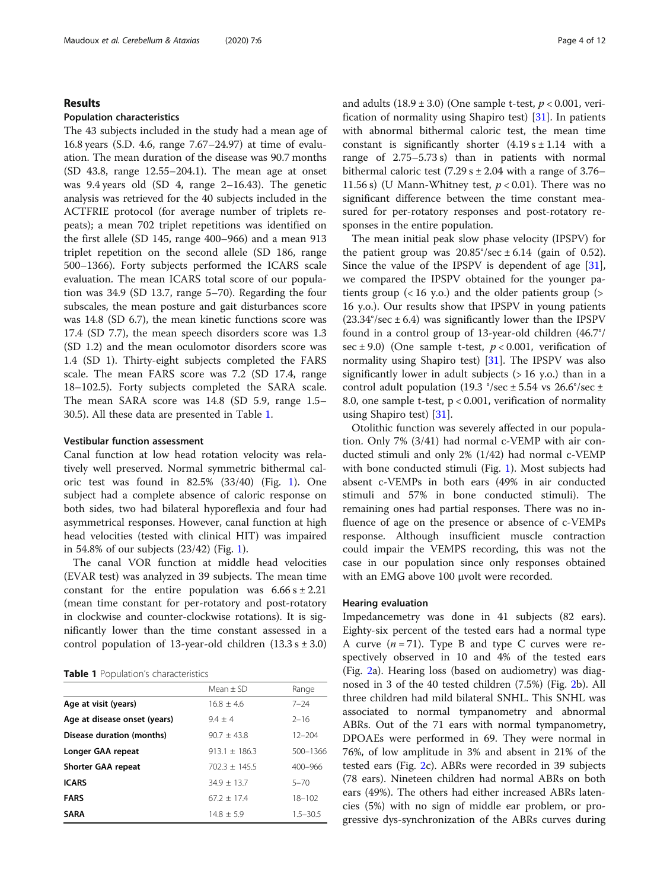#### Results

#### Population characteristics

The 43 subjects included in the study had a mean age of 16.8 years (S.D. 4.6, range 7.67–24.97) at time of evaluation. The mean duration of the disease was 90.7 months (SD 43.8, range 12.55–204.1). The mean age at onset was 9.4 years old (SD 4, range 2–16.43). The genetic analysis was retrieved for the 40 subjects included in the ACTFRIE protocol (for average number of triplets repeats); a mean 702 triplet repetitions was identified on the first allele (SD 145, range 400–966) and a mean 913 triplet repetition on the second allele (SD 186, range 500–1366). Forty subjects performed the ICARS scale evaluation. The mean ICARS total score of our population was 34.9 (SD 13.7, range 5–70). Regarding the four subscales, the mean posture and gait disturbances score was 14.8 (SD 6.7), the mean kinetic functions score was 17.4 (SD 7.7), the mean speech disorders score was 1.3 (SD 1.2) and the mean oculomotor disorders score was 1.4 (SD 1). Thirty-eight subjects completed the FARS scale. The mean FARS score was 7.2 (SD 17.4, range 18–102.5). Forty subjects completed the SARA scale. The mean SARA score was 14.8 (SD 5.9, range 1.5– 30.5). All these data are presented in Table 1.

#### Vestibular function assessment

Canal function at low head rotation velocity was relatively well preserved. Normal symmetric bithermal caloric test was found in 82.5% (33/40) (Fig. [1](#page-4-0)). One subject had a complete absence of caloric response on both sides, two had bilateral hyporeflexia and four had asymmetrical responses. However, canal function at high head velocities (tested with clinical HIT) was impaired in 54.8% of our subjects (23/42) (Fig. [1\)](#page-4-0).

The canal VOR function at middle head velocities (EVAR test) was analyzed in 39 subjects. The mean time constant for the entire population was  $6.66 s \pm 2.21$ (mean time constant for per-rotatory and post-rotatory in clockwise and counter-clockwise rotations). It is significantly lower than the time constant assessed in a control population of 13-year-old children  $(13.3 s \pm 3.0)$ 

Table 1 Population's characteristics

|                              | $Mean + SD$     | Range        |
|------------------------------|-----------------|--------------|
| Age at visit (years)         | $16.8 + 4.6$    | $7 - 24$     |
| Age at disease onset (years) | $9.4 + 4$       | $2 - 16$     |
| Disease duration (months)    | $90.7 + 43.8$   | $12 - 204$   |
| Longer GAA repeat            | $913.1 + 186.3$ | 500-1366     |
| Shorter GAA repeat           | $702.3 + 145.5$ | $400 - 966$  |
| <b>ICARS</b>                 | $34.9 + 13.7$   | $5 - 70$     |
| <b>FARS</b>                  | $67.2 + 17.4$   | $18 - 102$   |
| <b>SARA</b>                  | $14.8 + 5.9$    | $1.5 - 30.5$ |
|                              |                 |              |

and adults  $(18.9 \pm 3.0)$  (One sample t-test,  $p < 0.001$ , verification of normality using Shapiro test) [\[31\]](#page-10-0). In patients with abnormal bithermal caloric test, the mean time constant is significantly shorter  $(4.19 s \pm 1.14$  with a range of 2.75–5.73 s) than in patients with normal bithermal caloric test  $(7.29 s \pm 2.04$  with a range of 3.76– 11.56 s) (U Mann-Whitney test,  $p < 0.01$ ). There was no significant difference between the time constant measured for per-rotatory responses and post-rotatory responses in the entire population.

The mean initial peak slow phase velocity (IPSPV) for the patient group was  $20.85^{\circ}/\text{sec} \pm 6.14$  (gain of 0.52). Since the value of the IPSPV is dependent of age [\[31](#page-10-0)], we compared the IPSPV obtained for the younger patients group  $(< 16$  y.o.) and the older patients group  $(>$ 16 y.o.). Our results show that IPSPV in young patients  $(23.34^{\circ}/sec \pm 6.4)$  was significantly lower than the IPSPV found in a control group of 13-year-old children (46.7°/ sec  $\pm$  9.0) (One sample t-test,  $p < 0.001$ , verification of normality using Shapiro test) [\[31](#page-10-0)]. The IPSPV was also significantly lower in adult subjects  $(> 16$  y.o.) than in a control adult population (19.3 °/sec  $\pm$  5.54 vs 26.6°/sec  $\pm$ 8.0, one sample t-test,  $p < 0.001$ , verification of normality using Shapiro test) [\[31](#page-10-0)].

Otolithic function was severely affected in our population. Only 7% (3/41) had normal c-VEMP with air conducted stimuli and only 2% (1/42) had normal c-VEMP with bone conducted stimuli (Fig. [1\)](#page-4-0). Most subjects had absent c-VEMPs in both ears (49% in air conducted stimuli and 57% in bone conducted stimuli). The remaining ones had partial responses. There was no influence of age on the presence or absence of c-VEMPs response. Although insufficient muscle contraction could impair the VEMPS recording, this was not the case in our population since only responses obtained with an EMG above 100 μvolt were recorded.

#### Hearing evaluation

Impedancemetry was done in 41 subjects (82 ears). Eighty-six percent of the tested ears had a normal type A curve  $(n = 71)$ . Type B and type C curves were respectively observed in 10 and 4% of the tested ears (Fig. [2](#page-5-0)a). Hearing loss (based on audiometry) was diagnosed in 3 of the 40 tested children (7.5%) (Fig. [2b](#page-5-0)). All three children had mild bilateral SNHL. This SNHL was associated to normal tympanometry and abnormal ABRs. Out of the 71 ears with normal tympanometry, DPOAEs were performed in 69. They were normal in 76%, of low amplitude in 3% and absent in 21% of the tested ears (Fig. [2c](#page-5-0)). ABRs were recorded in 39 subjects (78 ears). Nineteen children had normal ABRs on both ears (49%). The others had either increased ABRs latencies (5%) with no sign of middle ear problem, or progressive dys-synchronization of the ABRs curves during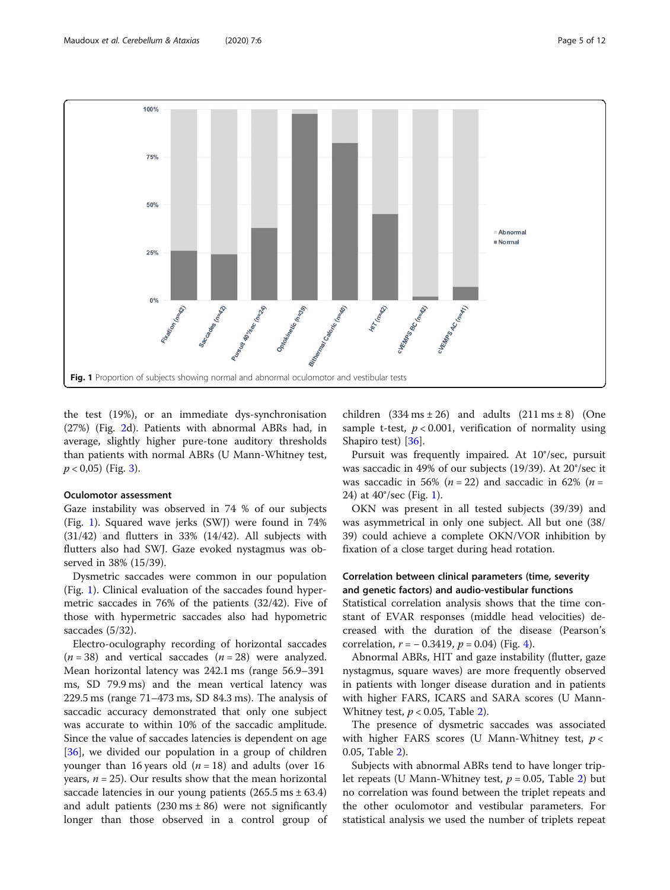<span id="page-4-0"></span>

the test (19%), or an immediate dys-synchronisation (27%) (Fig. [2d](#page-5-0)). Patients with abnormal ABRs had, in average, slightly higher pure-tone auditory thresholds than patients with normal ABRs (U Mann-Whitney test,  $p < 0.05$ ) (Fig. [3\)](#page-6-0).

#### Oculomotor assessment

Gaze instability was observed in 74 % of our subjects (Fig. 1). Squared wave jerks (SWJ) were found in 74%  $(31/42)$  and flutters in 33%  $(14/42)$ . All subjects with flutters also had SWJ. Gaze evoked nystagmus was observed in 38% (15/39).

Dysmetric saccades were common in our population (Fig. 1). Clinical evaluation of the saccades found hypermetric saccades in 76% of the patients (32/42). Five of those with hypermetric saccades also had hypometric saccades (5/32).

Electro-oculography recording of horizontal saccades  $(n = 38)$  and vertical saccades  $(n = 28)$  were analyzed. Mean horizontal latency was 242.1 ms (range 56.9–391 ms, SD 79.9 ms) and the mean vertical latency was 229.5 ms (range 71–473 ms, SD 84.3 ms). The analysis of saccadic accuracy demonstrated that only one subject was accurate to within 10% of the saccadic amplitude. Since the value of saccades latencies is dependent on age [[36\]](#page-10-0), we divided our population in a group of children younger than 16 years old ( $n = 18$ ) and adults (over 16 years,  $n = 25$ ). Our results show that the mean horizontal saccade latencies in our young patients  $(265.5 \text{ ms} \pm 63.4)$ and adult patients  $(230 \text{ ms} \pm 86)$  were not significantly longer than those observed in a control group of children  $(334 \text{ ms} \pm 26)$  and adults  $(211 \text{ ms} \pm 8)$  (One sample t-test,  $p < 0.001$ , verification of normality using Shapiro test) [[36\]](#page-10-0).

Pursuit was frequently impaired. At 10°/sec, pursuit was saccadic in 49% of our subjects (19/39). At 20°/sec it was saccadic in 56% ( $n = 22$ ) and saccadic in 62% ( $n =$ 24) at 40°/sec (Fig. 1).

OKN was present in all tested subjects (39/39) and was asymmetrical in only one subject. All but one (38/ 39) could achieve a complete OKN/VOR inhibition by fixation of a close target during head rotation.

#### Correlation between clinical parameters (time, severity and genetic factors) and audio-vestibular functions

Statistical correlation analysis shows that the time constant of EVAR responses (middle head velocities) decreased with the duration of the disease (Pearson's correlation,  $r = -0.3419$  $r = -0.3419$  $r = -0.3419$ ,  $p = 0.04$ ) (Fig. 4).

Abnormal ABRs, HIT and gaze instability (flutter, gaze nystagmus, square waves) are more frequently observed in patients with longer disease duration and in patients with higher FARS, ICARS and SARA scores (U Mann-Whitney test,  $p < 0.05$ , Table [2\)](#page-7-0).

The presence of dysmetric saccades was associated with higher FARS scores (U Mann-Whitney test,  $p <$ 0.05, Table [2\)](#page-7-0).

Subjects with abnormal ABRs tend to have longer triplet repeats (U Mann-Whitney test,  $p = 0.05$ , Table [2\)](#page-7-0) but no correlation was found between the triplet repeats and the other oculomotor and vestibular parameters. For statistical analysis we used the number of triplets repeat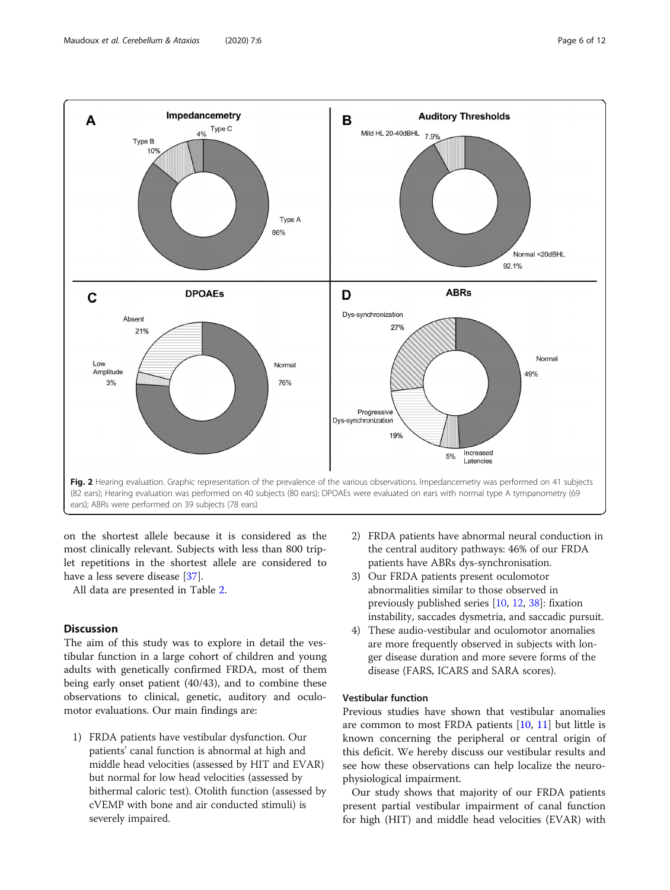<span id="page-5-0"></span>

on the shortest allele because it is considered as the most clinically relevant. Subjects with less than 800 triplet repetitions in the shortest allele are considered to have a less severe disease [[37\]](#page-10-0).

All data are presented in Table [2.](#page-7-0)

#### **Discussion**

The aim of this study was to explore in detail the vestibular function in a large cohort of children and young adults with genetically confirmed FRDA, most of them being early onset patient (40/43), and to combine these observations to clinical, genetic, auditory and oculomotor evaluations. Our main findings are:

1) FRDA patients have vestibular dysfunction. Our patients' canal function is abnormal at high and middle head velocities (assessed by HIT and EVAR) but normal for low head velocities (assessed by bithermal caloric test). Otolith function (assessed by cVEMP with bone and air conducted stimuli) is severely impaired.

- 2) FRDA patients have abnormal neural conduction in the central auditory pathways: 46% of our FRDA patients have ABRs dys-synchronisation.
- 3) Our FRDA patients present oculomotor abnormalities similar to those observed in previously published series [[10](#page-10-0), [12](#page-10-0), [38\]](#page-10-0): fixation instability, saccades dysmetria, and saccadic pursuit.
- 4) These audio-vestibular and oculomotor anomalies are more frequently observed in subjects with longer disease duration and more severe forms of the disease (FARS, ICARS and SARA scores).

#### Vestibular function

Previous studies have shown that vestibular anomalies are common to most FRDA patients [\[10](#page-10-0), [11](#page-10-0)] but little is known concerning the peripheral or central origin of this deficit. We hereby discuss our vestibular results and see how these observations can help localize the neurophysiological impairment.

Our study shows that majority of our FRDA patients present partial vestibular impairment of canal function for high (HIT) and middle head velocities (EVAR) with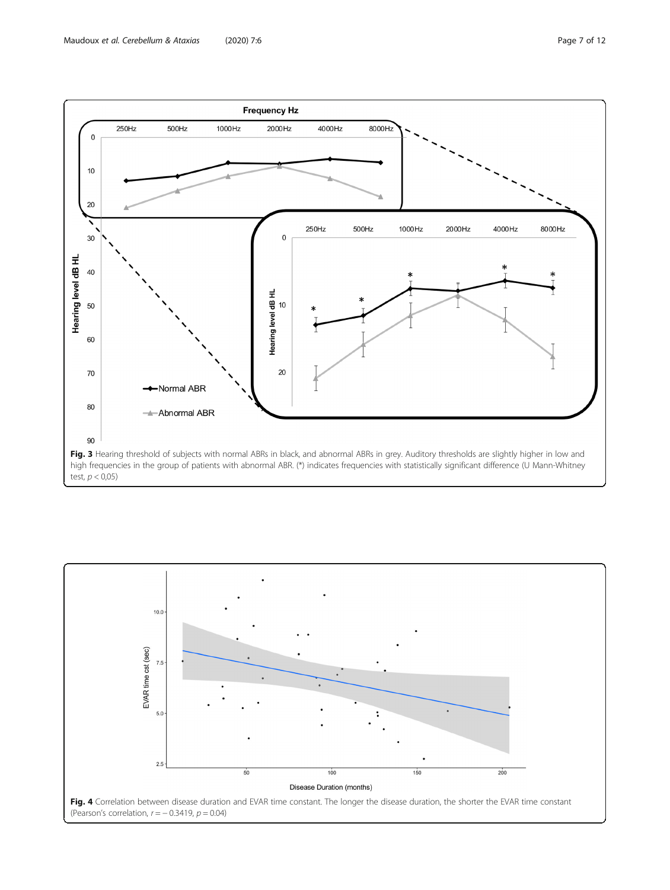<span id="page-6-0"></span>

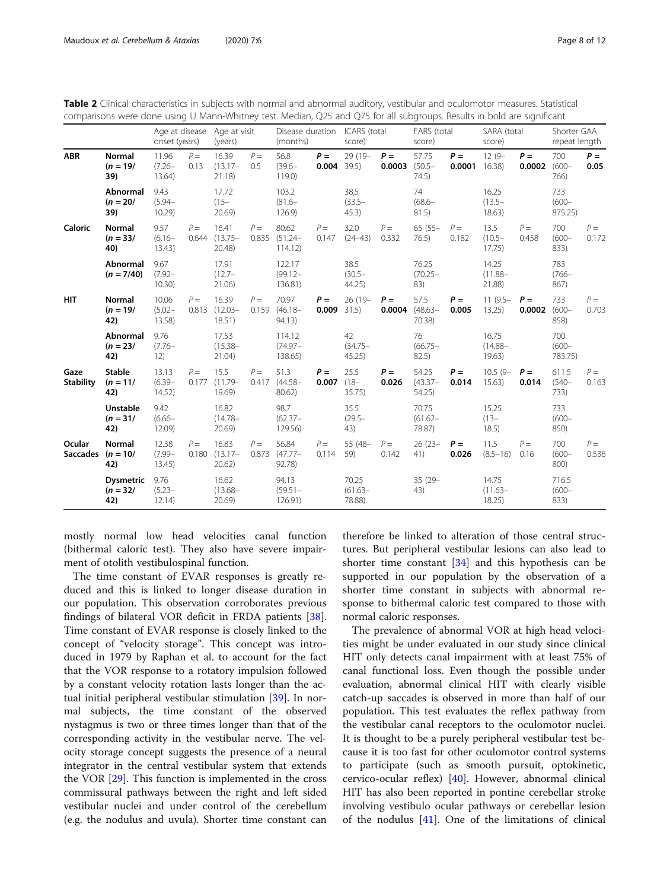<span id="page-7-0"></span>

| Table 2 Clinical characteristics in subjects with normal and abnormal auditory, vestibular and oculomotor measures. Statistical |
|---------------------------------------------------------------------------------------------------------------------------------|
| comparisons were done using U Mann-Whitney test. Median, Q25 and Q75 for all subgroups. Results in bold are significant         |
|                                                                                                                                 |

| <b>ABR</b>                | <b>Normal</b><br>$(n = 19)$<br>39)    | Age at disease<br>onset (years) |                | Age at visit<br>(years)               |                | Disease duration<br>(months)    |                        | ICARS (total<br>score)        |                 | FARS (total<br>score)              |                          | SARA (total<br>score)         |                 | Shorter GAA<br>repeat length |                |
|---------------------------|---------------------------------------|---------------------------------|----------------|---------------------------------------|----------------|---------------------------------|------------------------|-------------------------------|-----------------|------------------------------------|--------------------------|-------------------------------|-----------------|------------------------------|----------------|
|                           |                                       | 11.96<br>$(7.26 -$<br>13.64)    | $P =$<br>0.13  | 16.39<br>$(13.17 -$<br>21.18)         | $P =$<br>0.5   | 56.8<br>$(39.6 -$<br>119.0      | $P =$<br>$0.004$ 39.5) | $29(19 -$                     | $P =$<br>0.0003 | 57.75<br>$(50.5 -$<br>74.5)        | $P =$<br>$0.0001$ 16.38) | $12(9 -$                      | $P =$<br>0.0002 | 700<br>$(600 -$<br>766)      | $P =$<br>0.05  |
|                           | <b>Abnormal</b><br>$(n = 20)$<br>39)  | 9.43<br>$(5.94 -$<br>10.29      |                | 17.72<br>$(15 -$<br>20.69             |                | 103.2<br>$(81.6 -$<br>126.9     |                        | 38,5<br>$(33.5 -$<br>45.3)    |                 | 74<br>$(68.6 -$<br>81.5)           |                          | 16.25<br>$(13.5 -$<br>18.63)  |                 | 733<br>$(600 -$<br>875.25)   |                |
| Caloric                   | <b>Normal</b><br>$(n = 33/$<br>40)    | 9.57<br>$(6.16 -$<br>13.43)     | $P =$          | 16.41<br>$0.644$ $(13.75 -$<br>20.48) | $P =$<br>0.835 | 80.62<br>$(51.24 -$<br>114.12   | $P =$<br>0.147         | 32.0<br>$(24 - 43)$           | $P =$<br>0.332  | $65(55 -$<br>76.5)                 | $P =$<br>0.182           | 13.5<br>$(10.5 -$<br>17.75)   | $P =$<br>0.458  | 700<br>$(600 -$<br>833)      | $P =$<br>0.172 |
|                           | <b>Abnormal</b><br>$(n = 7/40)$       | 9.67<br>$(7.92 -$<br>10.30      |                | 17.91<br>$(12.7 -$<br>21.06)          |                | 122.17<br>$(99.12 -$<br>136.81) |                        | 38.5<br>$(30.5 -$<br>44.25    |                 | 76.25<br>$(70.25 -$<br>83)         |                          | 14.25<br>$(11.88 -$<br>21.88) |                 | 783<br>$(766 -$<br>867)      |                |
| <b>HIT</b>                | <b>Normal</b><br>$(n = 19)$<br>42)    | 10.06<br>$(5.02 -$<br>13.58)    | $P =$          | 16.39<br>$0.813$ $(12.03 -$<br>18.51) | $P =$<br>0.159 | 70.97<br>$(46.18 -$<br>94.13)   | $P =$<br>0.009         | $26(19 -$<br>31.5)            | $P =$           | 57.5<br>$0.0004$ (48.63-<br>70.38) | $P =$<br>0.005           | $11(9.5 -$<br>13.25)          | $P =$<br>0.0002 | 733<br>$(600 -$<br>858)      | $P =$<br>0.703 |
|                           | <b>Abnormal</b><br>$(n = 23)$<br>42)  | 9.76<br>$(7.76 -$<br>12)        |                | 17.53<br>$(15.38 -$<br>21.04)         |                | 114.12<br>$(74.97 -$<br>138.65) |                        | 42<br>$(34.75 -$<br>45.25)    |                 | 76<br>$(66.75 -$<br>82.5)          |                          | 16.75<br>$(14.88 -$<br>19.63) |                 | 700<br>$(600 -$<br>783.75)   |                |
| Gaze<br><b>Stability</b>  | <b>Stable</b><br>$(n = 11)$<br>42)    | 13.13<br>$(6.39 -$<br>14.52)    | $P =$<br>0.177 | 15.5<br>$(11.79 -$<br>19.69)          | $P =$<br>0.417 | 51.3<br>$(44.58 -$<br>80.62)    | $P =$<br>0.007         | 25.5<br>$(18 -$<br>35.75)     | $P =$<br>0.026  | 54.25<br>$(43.37 -$<br>54.25)      | $P =$<br>0.014           | $10.5(9 -$<br>15.63)          | $P =$<br>0.014  | 611.5<br>$(540 -$<br>733)    | $P =$<br>0.163 |
|                           | <b>Unstable</b><br>$(n = 31/$<br>42)  | 9.42<br>$(6.66 -$<br>12.09)     |                | 16.82<br>$(14.78 -$<br>20.69          |                | 98.7<br>$(62.37 -$<br>129.56)   |                        | 35.5<br>$(29.5 -$<br>43)      |                 | 70.75<br>$(61.62 -$<br>78.87)      |                          | 15.25<br>$(13 -$<br>18.5)     |                 | 733<br>$(600 -$<br>850)      |                |
| Ocular<br><b>Saccades</b> | <b>Normal</b><br>$(n = 10)$<br>42)    | 12.38<br>$(7.99 -$<br>13.45)    | $P =$<br>0.180 | 16.83<br>$(13.17 -$<br>20.62)         | $P =$<br>0.873 | 56.84<br>$(47.77 -$<br>92.78)   | $P =$<br>0.114         | 55 (48-<br>59)                | $P =$<br>0.142  | $26(23 -$<br>41)                   | $P =$<br>0.026           | 11.5<br>$(8.5 - 16)$          | $P =$<br>0.16   | 700<br>$(600 -$<br>800)      | $P =$<br>0.536 |
|                           | <b>Dysmetric</b><br>$(n = 32/$<br>42) | 9.76<br>$(5.23 -$<br>12.14)     |                | 16.62<br>$(13.68 -$<br>20.69          |                | 94.13<br>$(59.51 -$<br>126.91)  |                        | 70.25<br>$(61.63 -$<br>78.88) |                 | $35(29 -$<br>43)                   |                          | 14.75<br>$(11.63 -$<br>18.25  |                 | 716.5<br>$(600 -$<br>833)    |                |

mostly normal low head velocities canal function (bithermal caloric test). They also have severe impairment of otolith vestibulospinal function.

The time constant of EVAR responses is greatly reduced and this is linked to longer disease duration in our population. This observation corroborates previous findings of bilateral VOR deficit in FRDA patients [\[38](#page-10-0)]. Time constant of EVAR response is closely linked to the concept of "velocity storage". This concept was introduced in 1979 by Raphan et al. to account for the fact that the VOR response to a rotatory impulsion followed by a constant velocity rotation lasts longer than the actual initial peripheral vestibular stimulation [\[39](#page-11-0)]. In normal subjects, the time constant of the observed nystagmus is two or three times longer than that of the corresponding activity in the vestibular nerve. The velocity storage concept suggests the presence of a neural integrator in the central vestibular system that extends the VOR [\[29](#page-10-0)]. This function is implemented in the cross commissural pathways between the right and left sided vestibular nuclei and under control of the cerebellum (e.g. the nodulus and uvula). Shorter time constant can

therefore be linked to alteration of those central structures. But peripheral vestibular lesions can also lead to shorter time constant [[34\]](#page-10-0) and this hypothesis can be supported in our population by the observation of a shorter time constant in subjects with abnormal response to bithermal caloric test compared to those with normal caloric responses.

The prevalence of abnormal VOR at high head velocities might be under evaluated in our study since clinical HIT only detects canal impairment with at least 75% of canal functional loss. Even though the possible under evaluation, abnormal clinical HIT with clearly visible catch-up saccades is observed in more than half of our population. This test evaluates the reflex pathway from the vestibular canal receptors to the oculomotor nuclei. It is thought to be a purely peripheral vestibular test because it is too fast for other oculomotor control systems to participate (such as smooth pursuit, optokinetic, cervico-ocular reflex) [[40\]](#page-11-0). However, abnormal clinical HIT has also been reported in pontine cerebellar stroke involving vestibulo ocular pathways or cerebellar lesion of the nodulus [[41\]](#page-11-0). One of the limitations of clinical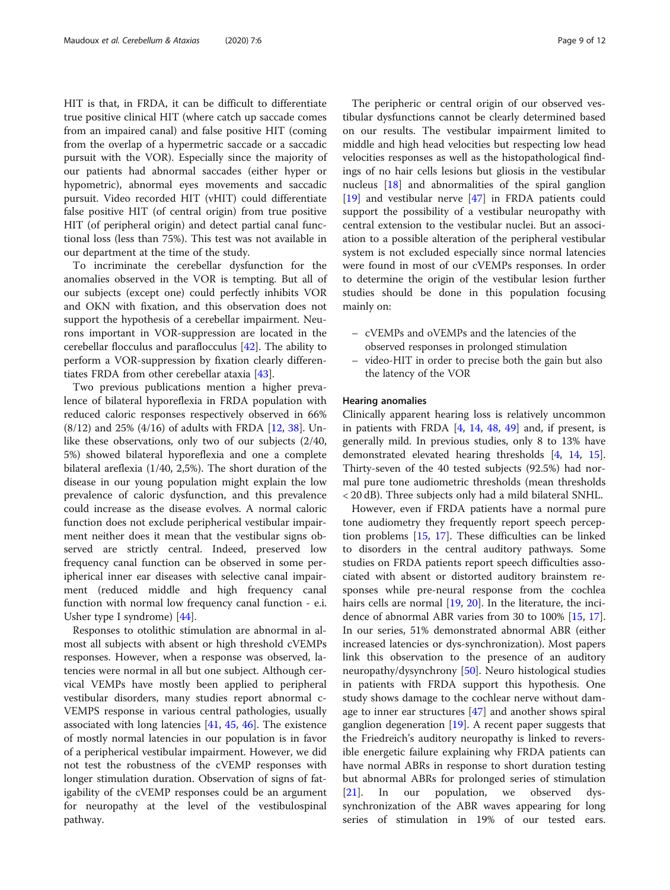HIT is that, in FRDA, it can be difficult to differentiate true positive clinical HIT (where catch up saccade comes from an impaired canal) and false positive HIT (coming from the overlap of a hypermetric saccade or a saccadic pursuit with the VOR). Especially since the majority of our patients had abnormal saccades (either hyper or hypometric), abnormal eyes movements and saccadic pursuit. Video recorded HIT (vHIT) could differentiate false positive HIT (of central origin) from true positive HIT (of peripheral origin) and detect partial canal functional loss (less than 75%). This test was not available in our department at the time of the study.

To incriminate the cerebellar dysfunction for the anomalies observed in the VOR is tempting. But all of our subjects (except one) could perfectly inhibits VOR and OKN with fixation, and this observation does not support the hypothesis of a cerebellar impairment. Neurons important in VOR-suppression are located in the cerebellar flocculus and paraflocculus [[42\]](#page-11-0). The ability to perform a VOR-suppression by fixation clearly differentiates FRDA from other cerebellar ataxia [\[43\]](#page-11-0).

Two previous publications mention a higher prevalence of bilateral hyporeflexia in FRDA population with reduced caloric responses respectively observed in 66% (8/12) and 25% (4/16) of adults with FRDA [\[12,](#page-10-0) [38](#page-10-0)]. Unlike these observations, only two of our subjects (2/40, 5%) showed bilateral hyporeflexia and one a complete bilateral areflexia (1/40, 2,5%). The short duration of the disease in our young population might explain the low prevalence of caloric dysfunction, and this prevalence could increase as the disease evolves. A normal caloric function does not exclude peripherical vestibular impairment neither does it mean that the vestibular signs observed are strictly central. Indeed, preserved low frequency canal function can be observed in some peripherical inner ear diseases with selective canal impairment (reduced middle and high frequency canal function with normal low frequency canal function - e.i. Usher type I syndrome) [[44\]](#page-11-0).

Responses to otolithic stimulation are abnormal in almost all subjects with absent or high threshold cVEMPs responses. However, when a response was observed, latencies were normal in all but one subject. Although cervical VEMPs have mostly been applied to peripheral vestibular disorders, many studies report abnormal c-VEMPS response in various central pathologies, usually associated with long latencies [[41,](#page-11-0) [45,](#page-11-0) [46](#page-11-0)]. The existence of mostly normal latencies in our population is in favor of a peripherical vestibular impairment. However, we did not test the robustness of the cVEMP responses with longer stimulation duration. Observation of signs of fatigability of the cVEMP responses could be an argument for neuropathy at the level of the vestibulospinal pathway.

The peripheric or central origin of our observed vestibular dysfunctions cannot be clearly determined based on our results. The vestibular impairment limited to middle and high head velocities but respecting low head velocities responses as well as the histopathological findings of no hair cells lesions but gliosis in the vestibular nucleus [[18](#page-10-0)] and abnormalities of the spiral ganglion [[19\]](#page-10-0) and vestibular nerve [\[47](#page-11-0)] in FRDA patients could support the possibility of a vestibular neuropathy with central extension to the vestibular nuclei. But an association to a possible alteration of the peripheral vestibular system is not excluded especially since normal latencies were found in most of our cVEMPs responses. In order to determine the origin of the vestibular lesion further studies should be done in this population focusing mainly on:

- cVEMPs and oVEMPs and the latencies of the observed responses in prolonged stimulation
- video-HIT in order to precise both the gain but also the latency of the VOR

#### Hearing anomalies

Clinically apparent hearing loss is relatively uncommon in patients with FRDA [[4](#page-10-0), [14](#page-10-0), [48](#page-11-0), [49\]](#page-11-0) and, if present, is generally mild. In previous studies, only 8 to 13% have demonstrated elevated hearing thresholds [[4,](#page-10-0) [14,](#page-10-0) [15](#page-10-0)]. Thirty-seven of the 40 tested subjects (92.5%) had normal pure tone audiometric thresholds (mean thresholds < 20 dB). Three subjects only had a mild bilateral SNHL.

However, even if FRDA patients have a normal pure tone audiometry they frequently report speech perception problems [[15](#page-10-0), [17\]](#page-10-0). These difficulties can be linked to disorders in the central auditory pathways. Some studies on FRDA patients report speech difficulties associated with absent or distorted auditory brainstem responses while pre-neural response from the cochlea hairs cells are normal [[19,](#page-10-0) [20\]](#page-10-0). In the literature, the incidence of abnormal ABR varies from 30 to 100% [\[15](#page-10-0), [17](#page-10-0)]. In our series, 51% demonstrated abnormal ABR (either increased latencies or dys-synchronization). Most papers link this observation to the presence of an auditory neuropathy/dysynchrony [[50\]](#page-11-0). Neuro histological studies in patients with FRDA support this hypothesis. One study shows damage to the cochlear nerve without damage to inner ear structures [[47\]](#page-11-0) and another shows spiral ganglion degeneration [\[19\]](#page-10-0). A recent paper suggests that the Friedreich's auditory neuropathy is linked to reversible energetic failure explaining why FRDA patients can have normal ABRs in response to short duration testing but abnormal ABRs for prolonged series of stimulation [[21\]](#page-10-0). In our population, we observed dyssynchronization of the ABR waves appearing for long series of stimulation in 19% of our tested ears.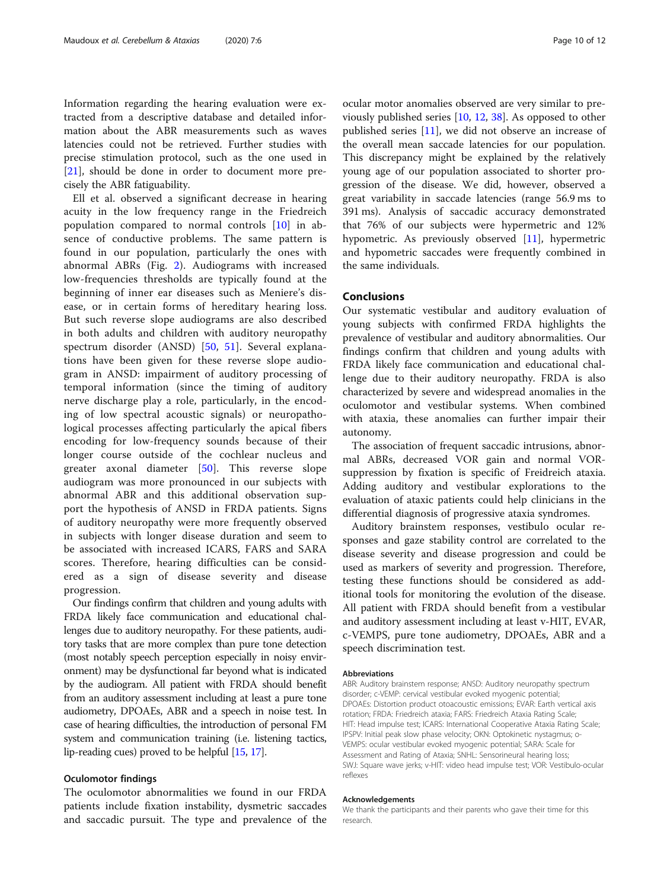Information regarding the hearing evaluation were extracted from a descriptive database and detailed information about the ABR measurements such as waves latencies could not be retrieved. Further studies with precise stimulation protocol, such as the one used in [[21\]](#page-10-0), should be done in order to document more precisely the ABR fatiguability.

Ell et al. observed a significant decrease in hearing acuity in the low frequency range in the Friedreich population compared to normal controls [\[10](#page-10-0)] in absence of conductive problems. The same pattern is found in our population, particularly the ones with abnormal ABRs (Fig. [2\)](#page-5-0). Audiograms with increased low-frequencies thresholds are typically found at the beginning of inner ear diseases such as Meniere's disease, or in certain forms of hereditary hearing loss. But such reverse slope audiograms are also described in both adults and children with auditory neuropathy spectrum disorder (ANSD) [\[50](#page-11-0), [51\]](#page-11-0). Several explanations have been given for these reverse slope audiogram in ANSD: impairment of auditory processing of temporal information (since the timing of auditory nerve discharge play a role, particularly, in the encoding of low spectral acoustic signals) or neuropathological processes affecting particularly the apical fibers encoding for low-frequency sounds because of their longer course outside of the cochlear nucleus and greater axonal diameter [\[50](#page-11-0)]. This reverse slope audiogram was more pronounced in our subjects with abnormal ABR and this additional observation support the hypothesis of ANSD in FRDA patients. Signs of auditory neuropathy were more frequently observed in subjects with longer disease duration and seem to be associated with increased ICARS, FARS and SARA scores. Therefore, hearing difficulties can be considered as a sign of disease severity and disease progression.

Our findings confirm that children and young adults with FRDA likely face communication and educational challenges due to auditory neuropathy. For these patients, auditory tasks that are more complex than pure tone detection (most notably speech perception especially in noisy environment) may be dysfunctional far beyond what is indicated by the audiogram. All patient with FRDA should benefit from an auditory assessment including at least a pure tone audiometry, DPOAEs, ABR and a speech in noise test. In case of hearing difficulties, the introduction of personal FM system and communication training (i.e. listening tactics, lip-reading cues) proved to be helpful [[15](#page-10-0), [17](#page-10-0)].

#### Oculomotor findings

The oculomotor abnormalities we found in our FRDA patients include fixation instability, dysmetric saccades and saccadic pursuit. The type and prevalence of the

ocular motor anomalies observed are very similar to previously published series [\[10,](#page-10-0) [12,](#page-10-0) [38\]](#page-10-0). As opposed to other published series [\[11](#page-10-0)], we did not observe an increase of the overall mean saccade latencies for our population. This discrepancy might be explained by the relatively young age of our population associated to shorter progression of the disease. We did, however, observed a great variability in saccade latencies (range 56.9 ms to 391 ms). Analysis of saccadic accuracy demonstrated that 76% of our subjects were hypermetric and 12% hypometric. As previously observed [\[11](#page-10-0)], hypermetric and hypometric saccades were frequently combined in the same individuals.

#### Conclusions

Our systematic vestibular and auditory evaluation of young subjects with confirmed FRDA highlights the prevalence of vestibular and auditory abnormalities. Our findings confirm that children and young adults with FRDA likely face communication and educational challenge due to their auditory neuropathy. FRDA is also characterized by severe and widespread anomalies in the oculomotor and vestibular systems. When combined with ataxia, these anomalies can further impair their autonomy.

The association of frequent saccadic intrusions, abnormal ABRs, decreased VOR gain and normal VORsuppression by fixation is specific of Freidreich ataxia. Adding auditory and vestibular explorations to the evaluation of ataxic patients could help clinicians in the differential diagnosis of progressive ataxia syndromes.

Auditory brainstem responses, vestibulo ocular responses and gaze stability control are correlated to the disease severity and disease progression and could be used as markers of severity and progression. Therefore, testing these functions should be considered as additional tools for monitoring the evolution of the disease. All patient with FRDA should benefit from a vestibular and auditory assessment including at least v-HIT, EVAR, c-VEMPS, pure tone audiometry, DPOAEs, ABR and a speech discrimination test.

#### Abbreviations

ABR: Auditory brainstem response; ANSD: Auditory neuropathy spectrum disorder; c-VEMP: cervical vestibular evoked myogenic potential; DPOAEs: Distortion product otoacoustic emissions; EVAR: Earth vertical axis rotation; FRDA: Friedreich ataxia; FARS: Friedreich Ataxia Rating Scale; HIT: Head impulse test; ICARS: International Cooperative Ataxia Rating Scale; IPSPV: Initial peak slow phase velocity; OKN: Optokinetic nystagmus; o-VEMPS: ocular vestibular evoked myogenic potential; SARA: Scale for Assessment and Rating of Ataxia; SNHL: Sensorineural hearing loss; SWJ: Square wave jerks; v-HIT: video head impulse test; VOR: Vestibulo-ocular reflexes

#### Acknowledgements

We thank the participants and their parents who gave their time for this research.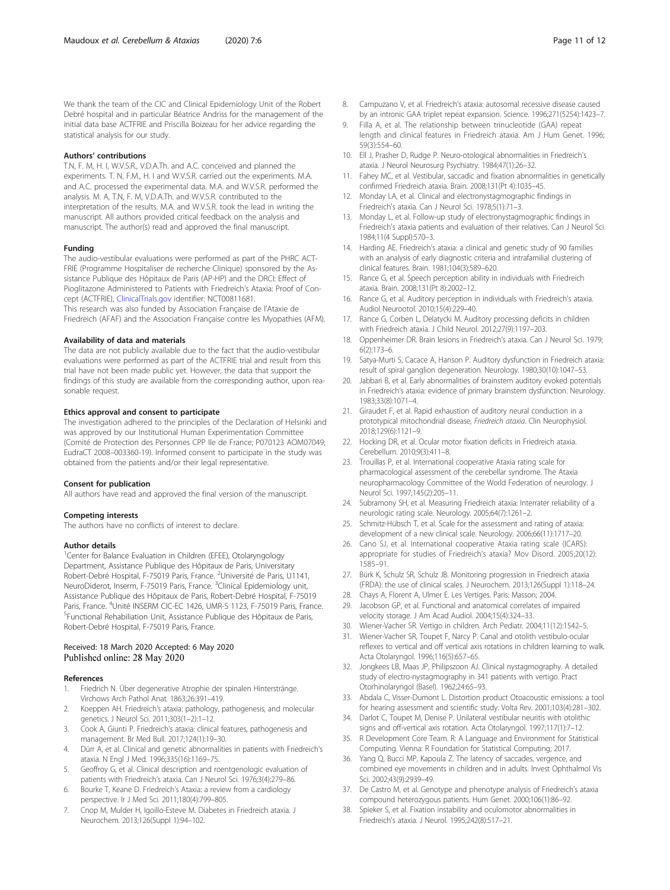<span id="page-10-0"></span>We thank the team of the CIC and Clinical Epidemiology Unit of the Robert Debré hospital and in particular Béatrice Andriss for the management of the initial data base ACTFRIE and Priscilla Boizeau for her advice regarding the statistical analysis for our study.

#### Authors' contributions

T.N, F. M, H. I, W.V.S.R., V.D.A.Th. and A.C. conceived and planned the experiments. T. N, F.M., H. I and W.V.S.R. carried out the experiments. M.A. and A.C. processed the experimental data. M.A. and W.V.S.R. performed the analysis. M. A, T.N, F. M, V.D.A.Th. and W.V.S.R. contributed to the interpretation of the results. M.A. and W.V.S.R. took the lead in writing the manuscript. All authors provided critical feedback on the analysis and manuscript. The author(s) read and approved the final manuscript.

#### Funding

The audio-vestibular evaluations were performed as part of the PHRC ACT-FRIE (Programme Hospitaliser de recherche Clinique) sponsored by the Assistance Publique des Hôpitaux de Paris (AP-HP) and the DRCI: Effect of Pioglitazone Administered to Patients with Friedreich's Ataxia: Proof of Concept (ACTFRIE), [ClinicalTrials.gov](http://clinicaltrials.gov) identifier: NCT00811681. This research was also funded by Association Française de l'Ataxie de Friedreich (AFAF) and the Association Française contre les Myopathies (AFM).

#### Availability of data and materials

The data are not publicly available due to the fact that the audio-vestibular evaluations were performed as part of the ACTFRIE trial and result from this trial have not been made public yet. However, the data that support the findings of this study are available from the corresponding author, upon reasonable request.

#### Ethics approval and consent to participate

The investigation adhered to the principles of the Declaration of Helsinki and was approved by our Institutional Human Experimentation Committee (Comité de Protection des Personnes CPP Ile de France; P070123 AOM07049; EudraCT 2008–003360-19). Informed consent to participate in the study was obtained from the patients and/or their legal representative.

#### Consent for publication

All authors have read and approved the final version of the manuscript.

#### Competing interests

The authors have no conflicts of interest to declare.

#### Author details

<sup>1</sup>Center for Balance Evaluation in Children (EFEE), Otolaryngology Department, Assistance Publique des Hôpitaux de Paris, Universitary Robert-Debré Hospital, F-75019 Paris, France. <sup>2</sup>Université de Paris, U1141, NeuroDiderot, Inserm, F-75019 Paris, France. <sup>3</sup>Clinical Epidemiology unit, Assistance Publique des Hôpitaux de Paris, Robert-Debré Hospital, F-75019 Paris, France. <sup>4</sup>Unité INSERM CIC-EC 1426, UMR-S 1123, F-75019 Paris, France.<br><sup>St</sup>unctional Pobabiliation Unit, Assistance Publique des Hâpitaux de Paris. <sup>5</sup>Functional Rehabiliation Unit, Assistance Publique des Hôpitaux de Paris, Robert-Debré Hospital, F-75019 Paris, France.

#### Received: 18 March 2020 Accepted: 6 May 2020 Published online: 28 May 2020

#### References

- 1. Friedrich N. Über degenerative Atrophie der spinalen Hinterstränge. Virchows Arch Pathol Anat. 1863;26:391–419.
- Koeppen AH. Friedreich's ataxia: pathology, pathogenesis, and molecular genetics. J Neurol Sci. 2011;303(1–2):1–12.
- Cook A, Giunti P. Friedreich's ataxia: clinical features, pathogenesis and management. Br Med Bull. 2017;124(1):19–30.
- 4. Dürr A, et al. Clinical and genetic abnormalities in patients with Friedreich's ataxia. N Engl J Med. 1996;335(16):1169–75.
- 5. Geoffroy G, et al. Clinical description and roentgenologic evaluation of patients with Friedreich's ataxia. Can J Neurol Sci. 1976;3(4):279–86.
- 6. Bourke T, Keane D. Friedreich's Ataxia: a review from a cardiology perspective. Ir J Med Sci. 2011;180(4):799–805.
- 7. Cnop M, Mulder H, Igoillo-Esteve M. Diabetes in Friedreich ataxia. J Neurochem. 2013;126(Suppl 1):94–102.
- 8. Campuzano V, et al. Friedreich's ataxia: autosomal recessive disease caused by an intronic GAA triplet repeat expansion. Science. 1996;271(5254):1423–7.
- 9. Filla A, et al. The relationship between trinucleotide (GAA) repeat length and clinical features in Friedreich ataxia. Am J Hum Genet. 1996; 59(3):554–60.
- 10. Ell J, Prasher D, Rudge P. Neuro-otological abnormalities in Friedreich's ataxia. J Neurol Neurosurg Psychiatry. 1984;47(1):26–32.
- 11. Fahey MC, et al. Vestibular, saccadic and fixation abnormalities in genetically confirmed Friedreich ataxia. Brain. 2008;131(Pt 4):1035–45.
- 12. Monday LA, et al. Clinical and electronystagmographic findings in Friedreich's ataxia. Can J Neurol Sci. 1978;5(1):71–3.
- 13. Monday L, et al. Follow-up study of electronystagmographic findings in Friedreich's ataxia patients and evaluation of their relatives. Can J Neurol Sci. 1984;11(4 Suppl):570–3.
- 14. Harding AE. Friedreich's ataxia: a clinical and genetic study of 90 families with an analysis of early diagnostic criteria and intrafamilial clustering of clinical features. Brain. 1981;104(3):589–620.
- 15. Rance G, et al. Speech perception ability in individuals with Friedreich ataxia. Brain. 2008;131(Pt 8):2002–12.
- 16. Rance G, et al. Auditory perception in individuals with Friedreich's ataxia. Audiol Neurootol. 2010;15(4):229–40.
- 17. Rance G, Corben L, Delatycki M. Auditory processing deficits in children with Friedreich ataxia. J Child Neurol. 2012;27(9):1197–203.
- 18. Oppenheimer DR. Brain lesions in Friedreich's ataxia. Can J Neurol Sci. 1979; 6(2):173–6.
- 19. Satya-Murti S, Cacace A, Hanson P. Auditory dysfunction in Friedreich ataxia: result of spiral ganglion degeneration. Neurology. 1980;30(10):1047–53.
- 20. Jabbari B, et al. Early abnormalities of brainstem auditory evoked potentials in Friedreich's ataxia: evidence of primary brainstem dysfunction. Neurology. 1983;33(8):1071–4.
- 21. Giraudet F, et al. Rapid exhaustion of auditory neural conduction in a prototypical mitochondrial disease, Friedreich ataxia. Clin Neurophysiol. 2018;129(6):1121–9.
- 22. Hocking DR, et al. Ocular motor fixation deficits in Friedreich ataxia. Cerebellum. 2010;9(3):411–8.
- 23. Trouillas P, et al. International cooperative Ataxia rating scale for pharmacological assessment of the cerebellar syndrome. The Ataxia neuropharmacology Committee of the World Federation of neurology. J Neurol Sci. 1997;145(2):205–11.
- 24. Subramony SH, et al. Measuring Friedreich ataxia: Interrater reliability of a neurologic rating scale. Neurology. 2005;64(7):1261–2.
- 25. Schmitz-Hübsch T, et al. Scale for the assessment and rating of ataxia: development of a new clinical scale. Neurology. 2006;66(11):1717–20.
- 26. Cano SJ, et al. International cooperative Ataxia rating scale (ICARS): appropriate for studies of Friedreich's ataxia? Mov Disord. 2005;20(12): 1585–91.
- 27. Bürk K, Schulz SR, Schulz JB. Monitoring progression in Friedreich ataxia (FRDA): the use of clinical scales. J Neurochem. 2013;126(Suppl 1):118–24.
- 28. Chays A, Florent A, Ulmer E. Les Vertiges. Paris: Masson; 2004.
- 29. Jacobson GP, et al. Functional and anatomical correlates of impaired velocity storage. J Am Acad Audiol. 2004;15(4):324–33.
- 30. Wiener-Vacher SR. Vertigo in children. Arch Pediatr. 2004;11(12):1542–5.
- 31. Wiener-Vacher SR, Toupet F, Narcy P. Canal and otolith vestibulo-ocular reflexes to vertical and off vertical axis rotations in children learning to walk. Acta Otolaryngol. 1996;116(5):657–65.
- 32. Jongkees LB, Maas JP, Philipszoon AJ. Clinical nystagmography. A detailed study of electro-nystagmography in 341 patients with vertigo. Pract Otorhinolaryngol (Basel). 1962;24:65–93.
- 33. Abdala C, Visser-Dumont L. Distortion product Otoacoustic emissions: a tool for hearing assessment and scientific study. Volta Rev. 2001;103(4):281–302.
- Darlot C, Toupet M, Denise P. Unilateral vestibular neuritis with otolithic signs and off-vertical axis rotation. Acta Otolaryngol. 1997;117(1):7–12.
- 35. R Development Core Team. R: A Language and Environment for Statistical Computing. Vienna: R Foundation for Statistical Computing; 2017.
- 36. Yang Q, Bucci MP, Kapoula Z. The latency of saccades, vergence, and combined eye movements in children and in adults. Invest Ophthalmol Vis Sci. 2002;43(9):2939–49.
- 37. De Castro M, et al. Genotype and phenotype analysis of Friedreich's ataxia compound heterozygous patients. Hum Genet. 2000;106(1):86–92.
- 38. Spieker S, et al. Fixation instability and oculomotor abnormalities in Friedreich's ataxia. J Neurol. 1995;242(8):517–21.